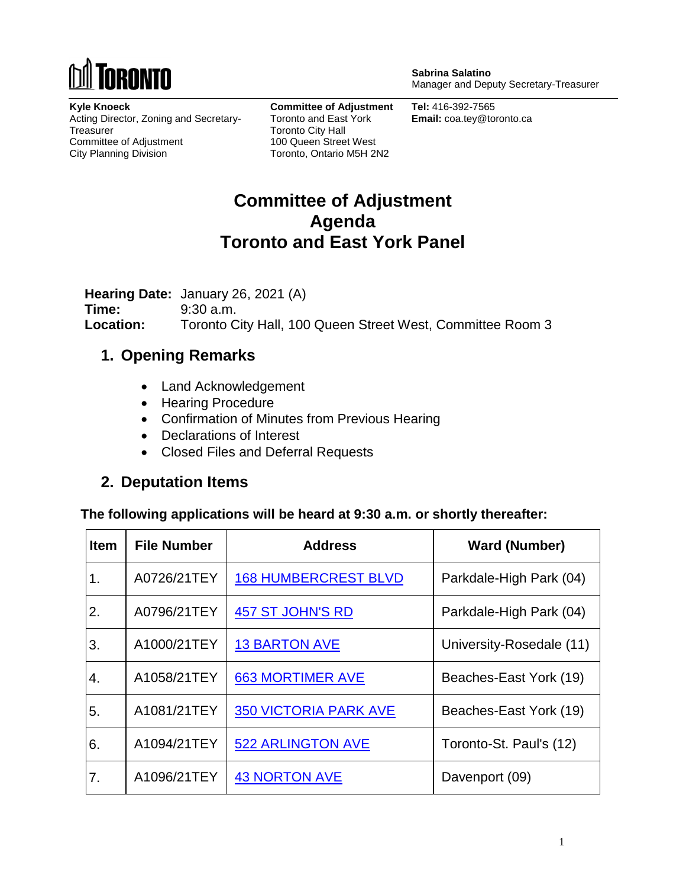

**Sabrina Salatino** Manager and Deputy Secretary-Treasurer

**Kyle Knoeck** Acting Director, Zoning and Secretary-**Treasurer** Committee of Adjustment City Planning Division

**Committee of Adjustment** Toronto and East York Toronto City Hall 100 Queen Street West Toronto, Ontario M5H 2N2

**Tel:** 416-392-7565 **Email:** coa.tey@toronto.ca

## **Committee of Adjustment Agenda Toronto and East York Panel**

**Hearing Date:** January 26, 2021 (A) **Time:** 9:30 a.m. **Location:** Toronto City Hall, 100 Queen Street West, Committee Room 3

### **1. Opening Remarks**

- Land Acknowledgement
- Hearing Procedure
- Confirmation of Minutes from Previous Hearing
- Declarations of Interest
- Closed Files and Deferral Requests

### **2. Deputation Items**

**The following applications will be heard at 9:30 a.m. or shortly thereafter:**

| <b>Item</b> | <b>File Number</b> | <b>Address</b>               | <b>Ward (Number)</b>     |
|-------------|--------------------|------------------------------|--------------------------|
| 1.          | A0726/21TEY        | <b>168 HUMBERCREST BLVD</b>  | Parkdale-High Park (04)  |
| 2.          | A0796/21TEY        | 457 ST JOHN'S RD             | Parkdale-High Park (04)  |
| 3.          | A1000/21TEY        | <b>13 BARTON AVE</b>         | University-Rosedale (11) |
| 4.          | A1058/21TEY        | <b>663 MORTIMER AVE</b>      | Beaches-East York (19)   |
| 5.          | A1081/21TEY        | <b>350 VICTORIA PARK AVE</b> | Beaches-East York (19)   |
| 6.          | A1094/21TEY        | <b>522 ARLINGTON AVE</b>     | Toronto-St. Paul's (12)  |
| 7.          | A1096/21TEY        | <b>43 NORTON AVE</b>         | Davenport (09)           |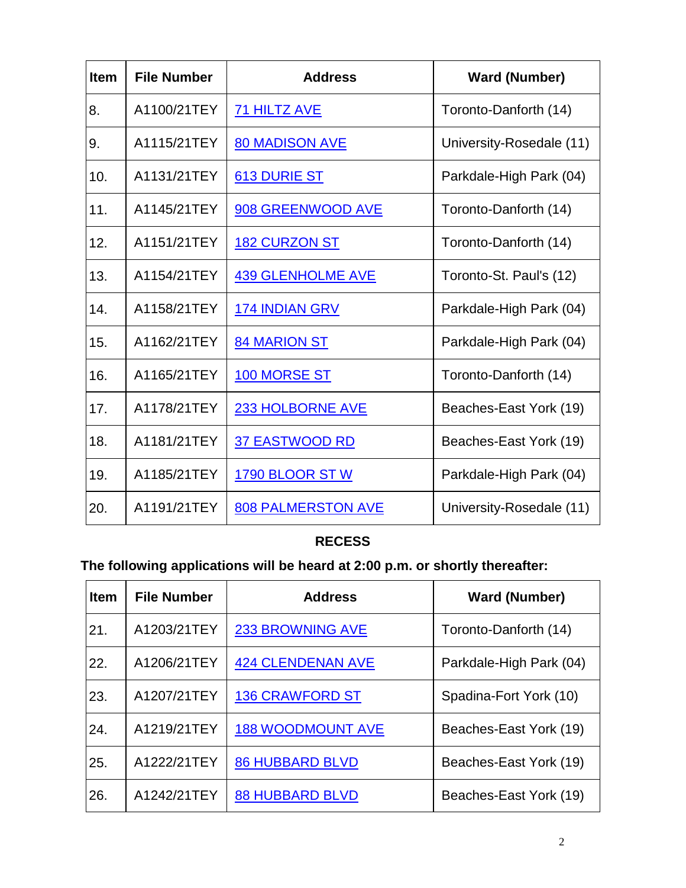| <b>Item</b> | <b>File Number</b> | <b>Address</b>            | <b>Ward (Number)</b>     |
|-------------|--------------------|---------------------------|--------------------------|
| 8.          | A1100/21TEY        | <b>71 HILTZ AVE</b>       | Toronto-Danforth (14)    |
| 9.          | A1115/21TEY        | <b>80 MADISON AVE</b>     | University-Rosedale (11) |
| 10.         | A1131/21TEY        | 613 DURIE ST              | Parkdale-High Park (04)  |
| 11.         | A1145/21TEY        | 908 GREENWOOD AVE         | Toronto-Danforth (14)    |
| 12.         | A1151/21TEY        | <b>182 CURZON ST</b>      | Toronto-Danforth (14)    |
| 13.         | A1154/21TEY        | <b>439 GLENHOLME AVE</b>  | Toronto-St. Paul's (12)  |
| 14.         | A1158/21TEY        | <b>174 INDIAN GRV</b>     | Parkdale-High Park (04)  |
| 15.         | A1162/21TEY        | <b>84 MARION ST</b>       | Parkdale-High Park (04)  |
| 16.         | A1165/21TEY        | <b>100 MORSE ST</b>       | Toronto-Danforth (14)    |
| 17.         | A1178/21TEY        | 233 HOLBORNE AVE          | Beaches-East York (19)   |
| 18.         | A1181/21TEY        | <b>37 EASTWOOD RD</b>     | Beaches-East York (19)   |
| 19.         | A1185/21TEY        | <b>1790 BLOOR ST W</b>    | Parkdale-High Park (04)  |
| 20.         | A1191/21TEY        | <b>808 PALMERSTON AVE</b> | University-Rosedale (11) |

### **RECESS**

# **The following applications will be heard at 2:00 p.m. or shortly thereafter:**

| <b>Item</b> | <b>File Number</b> | <b>Address</b>           | <b>Ward (Number)</b>    |
|-------------|--------------------|--------------------------|-------------------------|
| 21.         | A1203/21TEY        | 233 BROWNING AVE         | Toronto-Danforth (14)   |
| 22.         | A1206/21TEY        | <b>424 CLENDENAN AVE</b> | Parkdale-High Park (04) |
| 23.         | A1207/21TEY        | <b>136 CRAWFORD ST</b>   | Spadina-Fort York (10)  |
| 24.         | A1219/21TEY        | <b>188 WOODMOUNT AVE</b> | Beaches-East York (19)  |
| 25.         | A1222/21TEY        | <b>86 HUBBARD BLVD</b>   | Beaches-East York (19)  |
| 26.         | A1242/21TEY        | <b>88 HUBBARD BLVD</b>   | Beaches-East York (19)  |